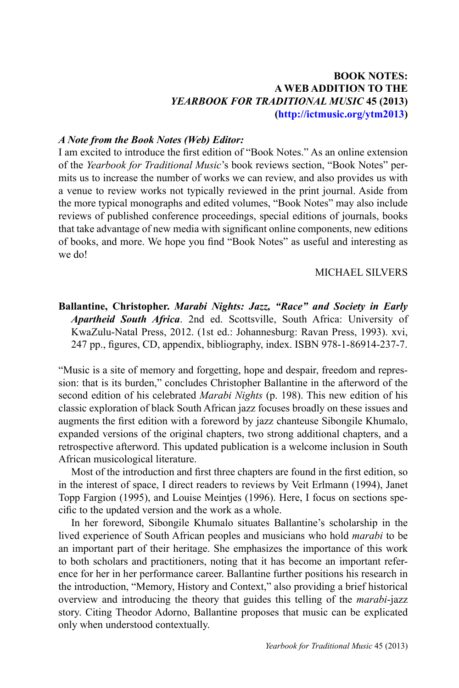# **BOOK notes: a web addition to the**  *yearbook for traditional music* **45 (2013) (<http://ictmusic.org/ytm2013>)**

## *A Note from the Book Notes (Web) Editor:*

I am excited to introduce the first edition of "Book Notes." As an online extension of the *Yearbook for Traditional Music*'s book reviews section, "Book Notes" permits us to increase the number of works we can review, and also provides us with a venue to review works not typically reviewed in the print journal. Aside from the more typical monographs and edited volumes, "Book Notes" may also include reviews of published conference proceedings, special editions of journals, books that take advantage of new media with significant online components, new editions of books, and more. We hope you find "Book Notes" as useful and interesting as we do!

## michael silvers

**Ballantine, Christopher.** *Marabi Nights: Jazz, "Race" and Society in Early Apartheid South Africa*. 2nd ed. Scottsville, South Africa: University of KwaZulu-Natal Press, 2012. (1st ed.: Johannesburg: Ravan Press, 1993). xvi, 247 pp., figures, CD, appendix, bibliography, index. ISBN 978-1-86914-237-7.

"Music is a site of memory and forgetting, hope and despair, freedom and repression: that is its burden," concludes Christopher Ballantine in the afterword of the second edition of his celebrated *Marabi Nights* (p. 198). This new edition of his classic exploration of black South African jazz focuses broadly on these issues and augments the first edition with a foreword by jazz chanteuse Sibongile Khumalo, expanded versions of the original chapters, two strong additional chapters, and a retrospective afterword. This updated publication is a welcome inclusion in South African musicological literature.

Most of the introduction and first three chapters are found in the first edition, so in the interest of space, I direct readers to reviews by Veit Erlmann (1994), Janet Topp Fargion (1995), and Louise Meintjes (1996). Here, I focus on sections specific to the updated version and the work as a whole.

In her foreword, Sibongile Khumalo situates Ballantine's scholarship in the lived experience of South African peoples and musicians who hold *marabi* to be an important part of their heritage. She emphasizes the importance of this work to both scholars and practitioners, noting that it has become an important reference for her in her performance career. Ballantine further positions his research in the introduction, "Memory, History and Context," also providing a brief historical overview and introducing the theory that guides this telling of the *marabi*-jazz story. Citing Theodor Adorno, Ballantine proposes that music can be explicated only when understood contextually.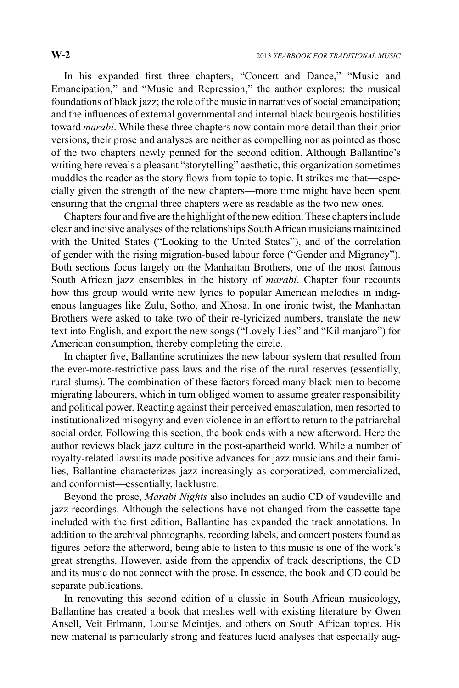In his expanded first three chapters, "Concert and Dance," "Music and Emancipation," and "Music and Repression," the author explores: the musical foundations of black jazz; the role of the music in narratives of social emancipation; and the influences of external governmental and internal black bourgeois hostilities toward *marabi*. While these three chapters now contain more detail than their prior versions, their prose and analyses are neither as compelling nor as pointed as those of the two chapters newly penned for the second edition. Although Ballantine's writing here reveals a pleasant "storytelling" aesthetic, this organization sometimes muddles the reader as the story flows from topic to topic. It strikes me that—especially given the strength of the new chapters—more time might have been spent ensuring that the original three chapters were as readable as the two new ones.

Chapters four and five are the highlight of the new edition. These chapters include clear and incisive analyses of the relationships South African musicians maintained with the United States ("Looking to the United States"), and of the correlation of gender with the rising migration-based labour force ("Gender and Migrancy"). Both sections focus largely on the Manhattan Brothers, one of the most famous South African jazz ensembles in the history of *marabi*. Chapter four recounts how this group would write new lyrics to popular American melodies in indigenous languages like Zulu, Sotho, and Xhosa. In one ironic twist, the Manhattan Brothers were asked to take two of their re-lyricized numbers, translate the new text into English, and export the new songs ("Lovely Lies" and "Kilimanjaro") for American consumption, thereby completing the circle.

In chapter five, Ballantine scrutinizes the new labour system that resulted from the ever-more-restrictive pass laws and the rise of the rural reserves (essentially, rural slums). The combination of these factors forced many black men to become migrating labourers, which in turn obliged women to assume greater responsibility and political power. Reacting against their perceived emasculation, men resorted to institutionalized misogyny and even violence in an effort to return to the patriarchal social order. Following this section, the book ends with a new afterword. Here the author reviews black jazz culture in the post-apartheid world. While a number of royalty-related lawsuits made positive advances for jazz musicians and their families, Ballantine characterizes jazz increasingly as corporatized, commercialized, and conformist—essentially, lacklustre.

Beyond the prose, *Marabi Nights* also includes an audio CD of vaudeville and jazz recordings. Although the selections have not changed from the cassette tape included with the first edition, Ballantine has expanded the track annotations. In addition to the archival photographs, recording labels, and concert posters found as figures before the afterword, being able to listen to this music is one of the work's great strengths. However, aside from the appendix of track descriptions, the CD and its music do not connect with the prose. In essence, the book and CD could be separate publications.

In renovating this second edition of a classic in South African musicology, Ballantine has created a book that meshes well with existing literature by Gwen Ansell, Veit Erlmann, Louise Meintjes, and others on South African topics. His new material is particularly strong and features lucid analyses that especially aug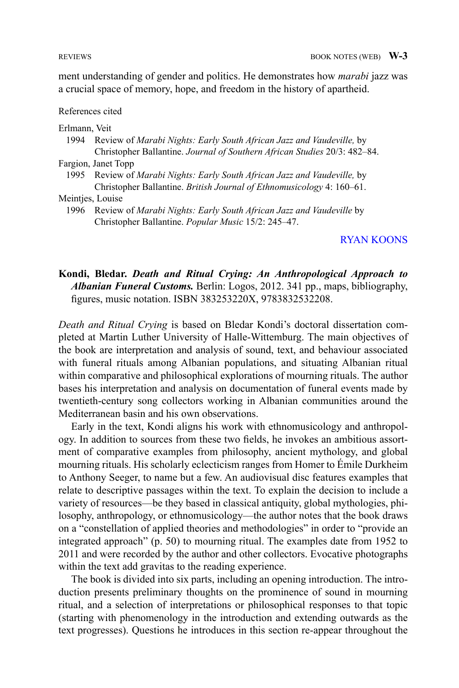ment understanding of gender and politics. He demonstrates how *marabi* jazz was a crucial space of memory, hope, and freedom in the history of apartheid.

### References cited

### Erlmann, Veit

1994 Review of *Marabi Nights: Early South African Jazz and Vaudeville,* by Christopher Ballantine. *Journal of Southern African Studies* 20/3: 482–84.

Fargion, Janet Topp

1995 Review of *Marabi Nights: Early South African Jazz and Vaudeville,* by Christopher Ballantine. *British Journal of Ethnomusicology* 4: 160–61.

1996 Review of *Marabi Nights: Early South African Jazz and Vaudeville* by Christopher Ballantine. *Popular Music* 15/2: 245–47.

### <span id="page-2-0"></span>[RYAN KOONS](#page-6-0)

# **Kondi, Bledar.** *Death and Ritual Crying: An Anthropological Approach to Albanian Funeral Customs.* Berlin: Logos, 2012. 341 pp., maps, bibliography, figures, music notation. ISBN 383253220X, 9783832532208.

*Death and Ritual Crying* is based on Bledar Kondi's doctoral dissertation completed at Martin Luther University of Halle-Wittemburg. The main objectives of the book are interpretation and analysis of sound, text, and behaviour associated with funeral rituals among Albanian populations, and situating Albanian ritual within comparative and philosophical explorations of mourning rituals. The author bases his interpretation and analysis on documentation of funeral events made by twentieth-century song collectors working in Albanian communities around the Mediterranean basin and his own observations.

Early in the text, Kondi aligns his work with ethnomusicology and anthropology. In addition to sources from these two fields, he invokes an ambitious assortment of comparative examples from philosophy, ancient mythology, and global mourning rituals. His scholarly eclecticism ranges from Homer to Émile Durkheim to Anthony Seeger, to name but a few. An audiovisual disc features examples that relate to descriptive passages within the text. To explain the decision to include a variety of resources—be they based in classical antiquity, global mythologies, philosophy, anthropology, or ethnomusicology—the author notes that the book draws on a "constellation of applied theories and methodologies" in order to "provide an integrated approach" (p. 50) to mourning ritual. The examples date from 1952 to 2011 and were recorded by the author and other collectors. Evocative photographs within the text add gravitas to the reading experience.

The book is divided into six parts, including an opening introduction. The introduction presents preliminary thoughts on the prominence of sound in mourning ritual, and a selection of interpretations or philosophical responses to that topic (starting with phenomenology in the introduction and extending outwards as the text progresses). Questions he introduces in this section re-appear throughout the

Meintjes, Louise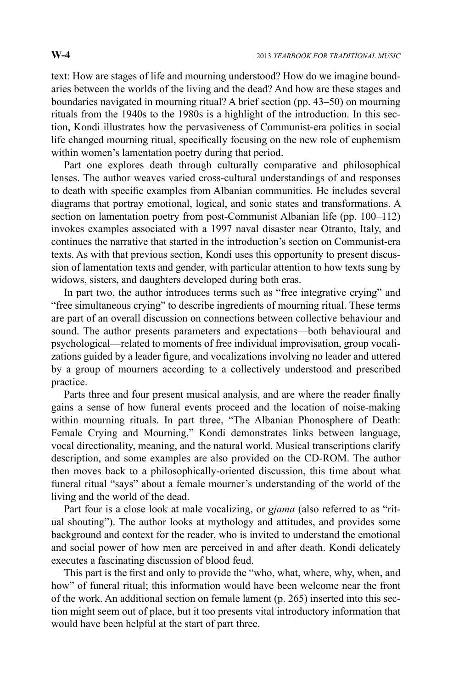text: How are stages of life and mourning understood? How do we imagine boundaries between the worlds of the living and the dead? And how are these stages and boundaries navigated in mourning ritual? A brief section (pp. 43–50) on mourning rituals from the 1940s to the 1980s is a highlight of the introduction. In this section, Kondi illustrates how the pervasiveness of Communist-era politics in social life changed mourning ritual, specifically focusing on the new role of euphemism within women's lamentation poetry during that period.

Part one explores death through culturally comparative and philosophical lenses. The author weaves varied cross-cultural understandings of and responses to death with specific examples from Albanian communities. He includes several diagrams that portray emotional, logical, and sonic states and transformations. A section on lamentation poetry from post-Communist Albanian life (pp. 100–112) invokes examples associated with a 1997 naval disaster near Otranto, Italy, and continues the narrative that started in the introduction's section on Communist-era texts. As with that previous section, Kondi uses this opportunity to present discussion of lamentation texts and gender, with particular attention to how texts sung by widows, sisters, and daughters developed during both eras.

In part two, the author introduces terms such as "free integrative crying" and "free simultaneous crying" to describe ingredients of mourning ritual. These terms are part of an overall discussion on connections between collective behaviour and sound. The author presents parameters and expectations—both behavioural and psychological—related to moments of free individual improvisation, group vocalizations guided by a leader figure, and vocalizations involving no leader and uttered by a group of mourners according to a collectively understood and prescribed practice.

Parts three and four present musical analysis, and are where the reader finally gains a sense of how funeral events proceed and the location of noise-making within mourning rituals. In part three, "The Albanian Phonosphere of Death: Female Crying and Mourning," Kondi demonstrates links between language, vocal directionality, meaning, and the natural world. Musical transcriptions clarify description, and some examples are also provided on the CD-ROM. The author then moves back to a philosophically-oriented discussion, this time about what funeral ritual "says" about a female mourner's understanding of the world of the living and the world of the dead.

Part four is a close look at male vocalizing, or *gjama* (also referred to as "ritual shouting"). The author looks at mythology and attitudes, and provides some background and context for the reader, who is invited to understand the emotional and social power of how men are perceived in and after death. Kondi delicately executes a fascinating discussion of blood feud.

This part is the first and only to provide the "who, what, where, why, when, and how" of funeral ritual; this information would have been welcome near the front of the work. An additional section on female lament (p. 265) inserted into this section might seem out of place, but it too presents vital introductory information that would have been helpful at the start of part three.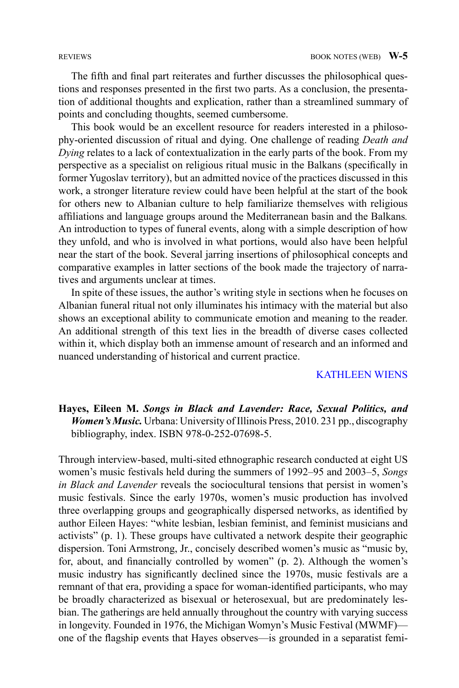The fifth and final part reiterates and further discusses the philosophical questions and responses presented in the first two parts. As a conclusion, the presentation of additional thoughts and explication, rather than a streamlined summary of points and concluding thoughts, seemed cumbersome.

This book would be an excellent resource for readers interested in a philosophy-oriented discussion of ritual and dying. One challenge of reading *Death and Dying* relates to a lack of contextualization in the early parts of the book. From my perspective as a specialist on religious ritual music in the Balkans (specifically in former Yugoslav territory), but an admitted novice of the practices discussed in this work, a stronger literature review could have been helpful at the start of the book for others new to Albanian culture to help familiarize themselves with religious affiliations and language groups around the Mediterranean basin and the Balkans*.* An introduction to types of funeral events, along with a simple description of how they unfold, and who is involved in what portions, would also have been helpful near the start of the book. Several jarring insertions of philosophical concepts and comparative examples in latter sections of the book made the trajectory of narratives and arguments unclear at times.

In spite of these issues, the author's writing style in sections when he focuses on Albanian funeral ritual not only illuminates his intimacy with the material but also shows an exceptional ability to communicate emotion and meaning to the reader. An additional strength of this text lies in the breadth of diverse cases collected within it, which display both an immense amount of research and an informed and nuanced understanding of historical and current practice.

## <span id="page-4-0"></span>[KATHLEEN WIENS](#page-6-1)

# **Hayes, Eileen M.** *Songs in Black and Lavender: Race, Sexual Politics, and Women's Music.* Urbana: University of Illinois Press, 2010. 231 pp., discography bibliography, index. ISBN 978-0-252-07698-5.

Through interview-based, multi-sited ethnographic research conducted at eight US women's music festivals held during the summers of 1992–95 and 2003–5, *Songs in Black and Lavender* reveals the sociocultural tensions that persist in women's music festivals. Since the early 1970s, women's music production has involved three overlapping groups and geographically dispersed networks, as identified by author Eileen Hayes: "white lesbian, lesbian feminist, and feminist musicians and activists" (p. 1). These groups have cultivated a network despite their geographic dispersion. Toni Armstrong, Jr., concisely described women's music as "music by, for, about, and financially controlled by women" (p. 2). Although the women's music industry has significantly declined since the 1970s, music festivals are a remnant of that era, providing a space for woman-identified participants, who may be broadly characterized as bisexual or heterosexual, but are predominately lesbian. The gatherings are held annually throughout the country with varying success in longevity. Founded in 1976, the Michigan Womyn's Music Festival (MWMF) one of the flagship events that Hayes observes—is grounded in a separatist femi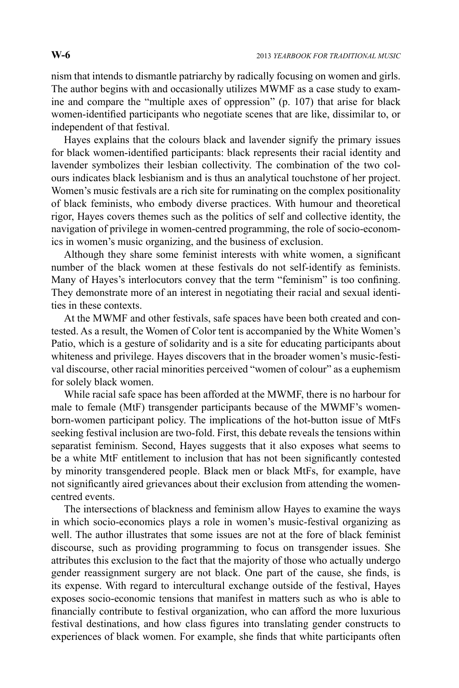nism that intends to dismantle patriarchy by radically focusing on women and girls. The author begins with and occasionally utilizes MWMF as a case study to examine and compare the "multiple axes of oppression" (p. 107) that arise for black women-identified participants who negotiate scenes that are like, dissimilar to, or independent of that festival.

Hayes explains that the colours black and lavender signify the primary issues for black women-identified participants: black represents their racial identity and lavender symbolizes their lesbian collectivity. The combination of the two colours indicates black lesbianism and is thus an analytical touchstone of her project. Women's music festivals are a rich site for ruminating on the complex positionality of black feminists, who embody diverse practices. With humour and theoretical rigor, Hayes covers themes such as the politics of self and collective identity, the navigation of privilege in women-centred programming, the role of socio-economics in women's music organizing, and the business of exclusion.

Although they share some feminist interests with white women, a significant number of the black women at these festivals do not self-identify as feminists. Many of Hayes's interlocutors convey that the term "feminism" is too confining. They demonstrate more of an interest in negotiating their racial and sexual identities in these contexts.

At the MWMF and other festivals, safe spaces have been both created and contested. As a result, the Women of Color tent is accompanied by the White Women's Patio, which is a gesture of solidarity and is a site for educating participants about whiteness and privilege. Hayes discovers that in the broader women's music-festival discourse, other racial minorities perceived "women of colour" as a euphemism for solely black women.

While racial safe space has been afforded at the MWMF, there is no harbour for male to female (MtF) transgender participants because of the MWMF's womenborn-women participant policy. The implications of the hot-button issue of MtFs seeking festival inclusion are two-fold. First, this debate reveals the tensions within separatist feminism. Second, Hayes suggests that it also exposes what seems to be a white MtF entitlement to inclusion that has not been significantly contested by minority transgendered people. Black men or black MtFs, for example, have not significantly aired grievances about their exclusion from attending the womencentred events.

The intersections of blackness and feminism allow Hayes to examine the ways in which socio-economics plays a role in women's music-festival organizing as well. The author illustrates that some issues are not at the fore of black feminist discourse, such as providing programming to focus on transgender issues. She attributes this exclusion to the fact that the majority of those who actually undergo gender reassignment surgery are not black. One part of the cause, she finds, is its expense. With regard to intercultural exchange outside of the festival, Hayes exposes socio-economic tensions that manifest in matters such as who is able to financially contribute to festival organization, who can afford the more luxurious festival destinations, and how class figures into translating gender constructs to experiences of black women. For example, she finds that white participants often